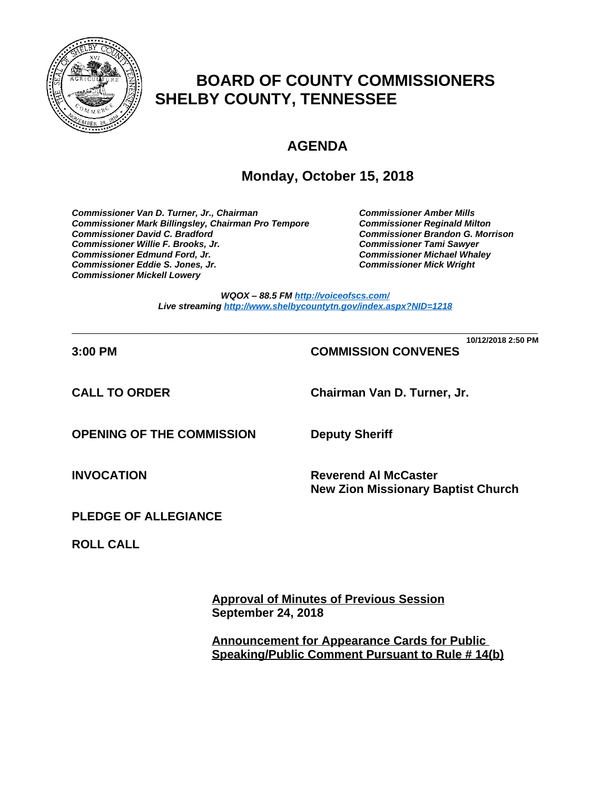

# **BOARD OF COUNTY COMMISSIONERS SHELBY COUNTY, TENNESSEE**

# **AGENDA**

## **Monday, October 15, 2018**

*Commissioner Van D. Turner, Jr., Chairman Commissioner Amber Mills*  **Commissioner Mark Billingsley, Chairman Pro Tempore** *Commissioner David C. Bradford Commissioner Brandon G. Morrison Commissioner Willie F. Brooks, Jr. Commissioner Tami Sawyer Commissioner Eddie S. Jones, Jr. Commissioner Mick Wright Commissioner Mickell Lowery*

**Commissioner Michael Whaley<br>Commissioner Mick Wright** 

*WQOX – 88.5 FM <http://voiceofscs.com/> Live streaming <http://www.shelbycountytn.gov/index.aspx?NID=1218>*

**\_\_\_\_\_\_\_\_\_\_\_\_\_\_\_\_\_\_\_\_\_\_\_\_\_\_\_\_\_\_\_\_\_\_\_\_\_\_\_\_\_\_\_\_\_\_\_\_\_\_\_\_\_\_\_\_\_\_\_\_\_\_\_\_\_\_\_\_\_\_ 10/12/2018 2:50 PM**

## **3:00 PM COMMISSION CONVENES**

**CALL TO ORDER Chairman Van D. Turner, Jr.**

**OPENING OF THE COMMISSION Deputy Sheriff**

**INVOCATION Reverend Al McCaster New Zion Missionary Baptist Church**

**PLEDGE OF ALLEGIANCE**

**ROLL CALL**

**Approval of Minutes of Previous Session September 24, 2018**

**Announcement for Appearance Cards for Public Speaking/Public Comment Pursuant to Rule # 14(b)**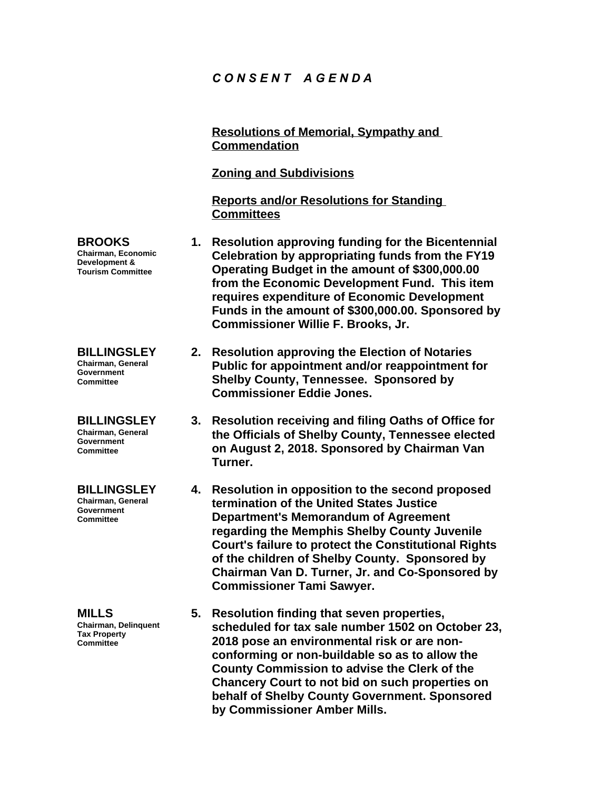## *C O N S E N T A G E N D A*

**Resolutions of Memorial, Sympathy and Commendation Zoning and Subdivisions Reports and/or Resolutions for Standing Committees 1. Resolution approving funding for the Bicentennial Celebration by appropriating funds from the FY19 Operating Budget in the amount of \$300,000.00 from the Economic Development Fund. This item requires expenditure of Economic Development Funds in the amount of \$300,000.00. Sponsored by Commissioner Willie F. Brooks, Jr. 2. Resolution approving the Election of Notaries Public for appointment and/or reappointment for Shelby County, Tennessee. Sponsored by Commissioner Eddie Jones.**

- **3. Resolution receiving and filing Oaths of Office for the Officials of Shelby County, Tennessee elected on August 2, 2018. Sponsored by Chairman Van Turner.**
- **4. Resolution in opposition to the second proposed termination of the United States Justice Department's Memorandum of Agreement regarding the Memphis Shelby County Juvenile Court's failure to protect the Constitutional Rights of the children of Shelby County. Sponsored by Chairman Van D. Turner, Jr. and Co-Sponsored by Commissioner Tami Sawyer.**
- **5. Resolution finding that seven properties, scheduled for tax sale number 1502 on October 23, 2018 pose an environmental risk or are nonconforming or non-buildable so as to allow the County Commission to advise the Clerk of the Chancery Court to not bid on such properties on behalf of Shelby County Government. Sponsored by Commissioner Amber Mills.**

**BROOKS Chairman, Economic Development & Tourism Committee**

**BILLINGSLEY Chairman, General Government Committee**

**BILLINGSLEY Chairman, General Government Committee**

**BILLINGSLEY Chairman, General Government Committee**

**MILLS Chairman, Delinquent Tax Property Committee**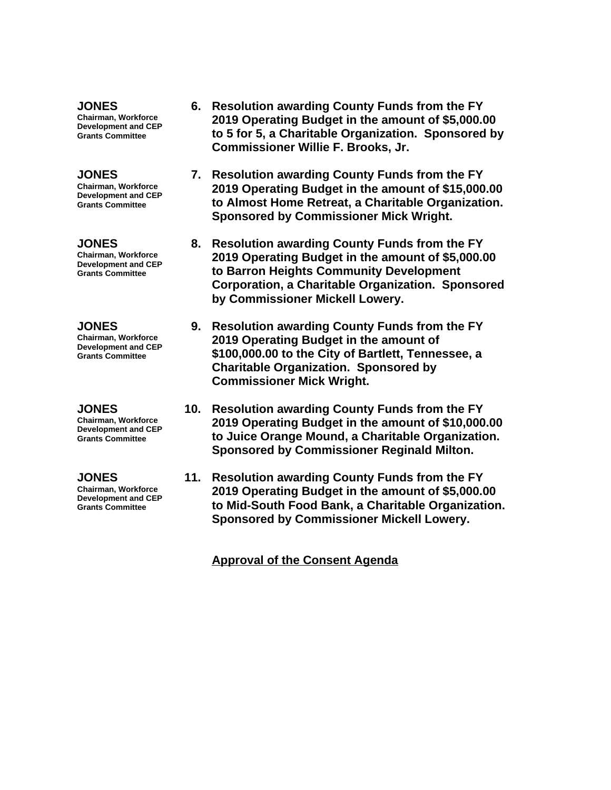**JONES Chairman, Workforce** 

**Development and CEP Grants Committee**

#### **JONES**

**Chairman, Workforce Development and CEP Grants Committee**

**JONES Chairman, Workforce Development and CEP Grants Committee**

#### **JONES**

**Chairman, Workforce Development and CEP Grants Committee**

#### **JONES**

**Chairman, Workforce Development and CEP Grants Committee**

#### **JONES**

**Chairman, Workforce Development and CEP Grants Committee**

- **6. Resolution awarding County Funds from the FY 2019 Operating Budget in the amount of \$5,000.00 to 5 for 5, a Charitable Organization. Sponsored by Commissioner Willie F. Brooks, Jr.**
- **7. Resolution awarding County Funds from the FY 2019 Operating Budget in the amount of \$15,000.00 to Almost Home Retreat, a Charitable Organization. Sponsored by Commissioner Mick Wright.**
- **8. Resolution awarding County Funds from the FY 2019 Operating Budget in the amount of \$5,000.00 to Barron Heights Community Development Corporation, a Charitable Organization. Sponsored by Commissioner Mickell Lowery.**
- **9. Resolution awarding County Funds from the FY 2019 Operating Budget in the amount of \$100,000.00 to the City of Bartlett, Tennessee, a Charitable Organization. Sponsored by Commissioner Mick Wright.**
- **10. Resolution awarding County Funds from the FY 2019 Operating Budget in the amount of \$10,000.00 to Juice Orange Mound, a Charitable Organization. Sponsored by Commissioner Reginald Milton.**
- **11. Resolution awarding County Funds from the FY 2019 Operating Budget in the amount of \$5,000.00 to Mid-South Food Bank, a Charitable Organization. Sponsored by Commissioner Mickell Lowery.**

**Approval of the Consent Agenda**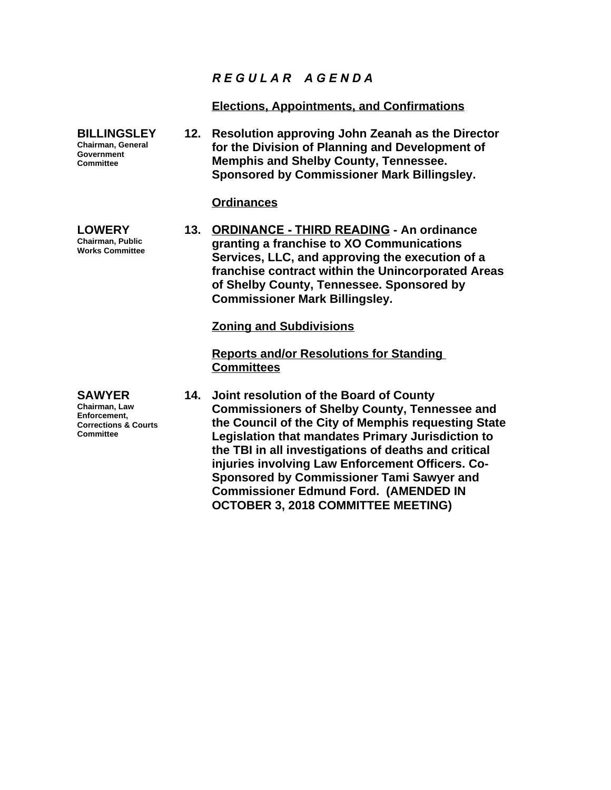## *R E G U L A R A G E N D A*

## **Elections, Appointments, and Confirmations**

**BILLINGSLEY Chairman, General Government Committee 12. Resolution approving John Zeanah as the Director for the Division of Planning and Development of Memphis and Shelby County, Tennessee. Sponsored by Commissioner Mark Billingsley.**

## **Ordinances**

**13. ORDINANCE - THIRD READING - An ordinance granting a franchise to XO Communications Services, LLC, and approving the execution of a franchise contract within the Unincorporated Areas of Shelby County, Tennessee. Sponsored by Commissioner Mark Billingsley.**

### **Zoning and Subdivisions**

**Reports and/or Resolutions for Standing Committees**

**14. Joint resolution of the Board of County Commissioners of Shelby County, Tennessee and the Council of the City of Memphis requesting State Legislation that mandates Primary Jurisdiction to the TBI in all investigations of deaths and critical injuries involving Law Enforcement Officers. Co-Sponsored by Commissioner Tami Sawyer and Commissioner Edmund Ford. (AMENDED IN OCTOBER 3, 2018 COMMITTEE MEETING)**

**LOWERY Chairman, Public Works Committee**

**SAWYER Chairman, Law Enforcement, Corrections & Courts Committee**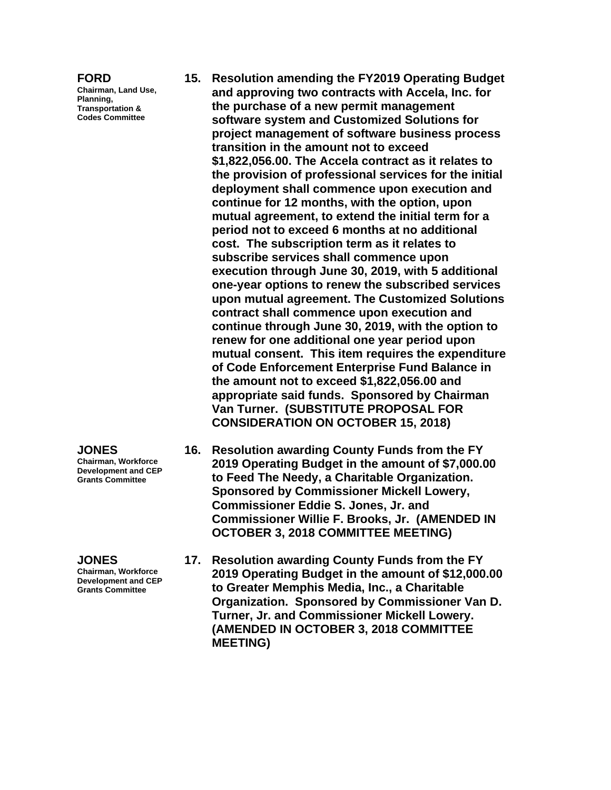#### **FORD**

**Chairman, Land Use, Planning, Transportation & Codes Committee**

- **15. Resolution amending the FY2019 Operating Budget and approving two contracts with Accela, Inc. for the purchase of a new permit management software system and Customized Solutions for project management of software business process transition in the amount not to exceed \$1,822,056.00. The Accela contract as it relates to the provision of professional services for the initial deployment shall commence upon execution and continue for 12 months, with the option, upon mutual agreement, to extend the initial term for a period not to exceed 6 months at no additional cost. The subscription term as it relates to subscribe services shall commence upon execution through June 30, 2019, with 5 additional one-year options to renew the subscribed services upon mutual agreement. The Customized Solutions contract shall commence upon execution and continue through June 30, 2019, with the option to renew for one additional one year period upon mutual consent. This item requires the expenditure of Code Enforcement Enterprise Fund Balance in the amount not to exceed \$1,822,056.00 and appropriate said funds. Sponsored by Chairman Van Turner. (SUBSTITUTE PROPOSAL FOR CONSIDERATION ON OCTOBER 15, 2018)**
- **16. Resolution awarding County Funds from the FY 2019 Operating Budget in the amount of \$7,000.00 to Feed The Needy, a Charitable Organization. Sponsored by Commissioner Mickell Lowery, Commissioner Eddie S. Jones, Jr. and Commissioner Willie F. Brooks, Jr. (AMENDED IN OCTOBER 3, 2018 COMMITTEE MEETING)**
- **17. Resolution awarding County Funds from the FY 2019 Operating Budget in the amount of \$12,000.00 to Greater Memphis Media, Inc., a Charitable Organization. Sponsored by Commissioner Van D. Turner, Jr. and Commissioner Mickell Lowery. (AMENDED IN OCTOBER 3, 2018 COMMITTEE MEETING)**

**JONES**

**Chairman, Workforce Development and CEP Grants Committee**

**JONES**

**Chairman, Workforce Development and CEP Grants Committee**